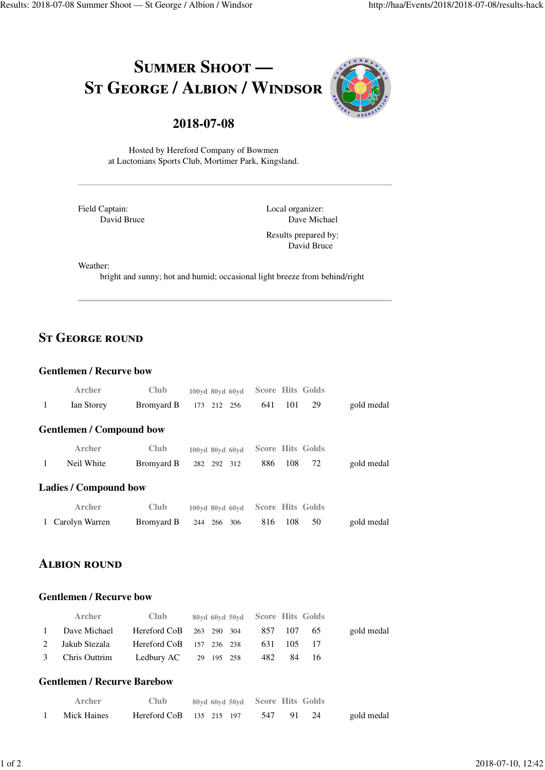# SUMMER SHOOT -ST GEORGE / ALBION / WINDSOR



# **2018-07-08**

Hosted by Hereford Company of Bowmen at Luctonians Sports Club, Mortimer Park, Kingsland.

Field Captain: David Bruce Local organizer: Dave Michael

Results prepared by: David Bruce

Weather:

bright and sunny; hot and humid; occasional light breeze from behind/right

# **ST GEORGE ROUND**

#### **Gentlemen / Recurve bow**

|   | Archer                          | Club              | 100yd 80yd 60yd   |     |     | Score Hits Golds        |            |
|---|---------------------------------|-------------------|-------------------|-----|-----|-------------------------|------------|
| 1 | Ian Storey                      | Bromyard B        | 212 256<br>173    | 641 | 101 | 29                      | gold medal |
|   | <b>Gentlemen / Compound bow</b> |                   |                   |     |     |                         |            |
|   | Archer                          | Club              | 100yd 80yd 60yd   |     |     | Score Hits Golds        |            |
| 1 | Neil White                      | Bromyard B        | 282<br>292 312    | 886 | 108 | 72                      | gold medal |
|   | <b>Ladies / Compound bow</b>    |                   |                   |     |     |                         |            |
|   | Archer                          | Club              | 100yd 80yd 60yd   |     |     | <b>Score Hits Golds</b> |            |
|   | Carolyn Warren                  | <b>Bromyard B</b> | 244<br>266<br>306 | 816 | 108 | 50                      | gold medal |

# **ALBION ROUND**

#### **Gentlemen / Recurve bow**

| Archer                                    | <b>Club</b> | 80yd 60yd 50yd Score Hits Golds     |            |            |
|-------------------------------------------|-------------|-------------------------------------|------------|------------|
| 1 Dave Michael                            |             | Hereford CoB 263 290 304 857 107 65 |            | gold medal |
| 2 Jakub Stezala                           |             | Hereford $CoB$ 157 236 238          | 631 105 17 |            |
| 3 Chris Outtrim Ledbury AC 29 195 258 482 |             |                                     | 84 16      |            |

#### **Gentlemen / Recurve Barebow**

| <b>Archer</b> | <b>Club</b> | 80yd 60yd 50yd Score Hits Golds |        |    |            |
|---------------|-------------|---------------------------------|--------|----|------------|
| Mick Haines   |             | Hereford $CoB$ 135 215 197      | 547 91 | 24 | gold medal |